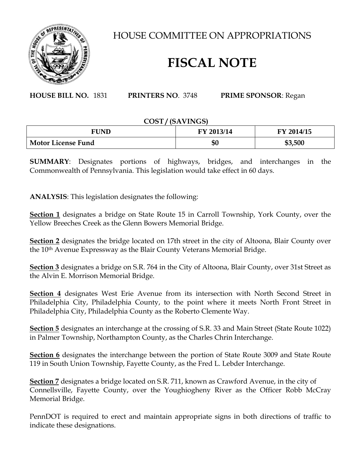

HOUSE COMMITTEE ON APPROPRIATIONS

## **FISCAL NOTE**

**HOUSE BILL NO.** 1831 **PRINTERS NO**. 3748 **PRIME SPONSOR**: Regan

## **COST / (SAVINGS)**

| FUND                      | FY 2013/14 | FY 2014/15 |
|---------------------------|------------|------------|
| <b>Motor License Fund</b> | \$0        | \$3,500    |

**SUMMARY**: Designates portions of highways, bridges, and interchanges in the Commonwealth of Pennsylvania. This legislation would take effect in 60 days.

**ANALYSIS**: This legislation designates the following:

**Section 1** designates a bridge on State Route 15 in Carroll Township, York County, over the Yellow Breeches Creek as the Glenn Bowers Memorial Bridge.

**Section 2** designates the bridge located on 17th street in the city of Altoona, Blair County over the 10<sup>th</sup> Avenue Expressway as the Blair County Veterans Memorial Bridge.

**Section 3** designates a bridge on S.R. 764 in the City of Altoona, Blair County, over 31st Street as the Alvin E. Morrison Memorial Bridge.

**Section 4** designates West Erie Avenue from its intersection with North Second Street in Philadelphia City, Philadelphia County, to the point where it meets North Front Street in Philadelphia City, Philadelphia County as the Roberto Clemente Way.

**Section 5** designates an interchange at the crossing of S.R. 33 and Main Street (State Route 1022) in Palmer Township, Northampton County, as the Charles Chrin Interchange.

**Section 6** designates the interchange between the portion of State Route 3009 and State Route 119 in South Union Township, Fayette County, as the Fred L. Lebder Interchange.

**Section 7** designates a bridge located on S.R. 711, known as Crawford Avenue, in the city of Connellsville, Fayette County, over the Youghiogheny River as the Officer Robb McCray Memorial Bridge.

PennDOT is required to erect and maintain appropriate signs in both directions of traffic to indicate these designations.